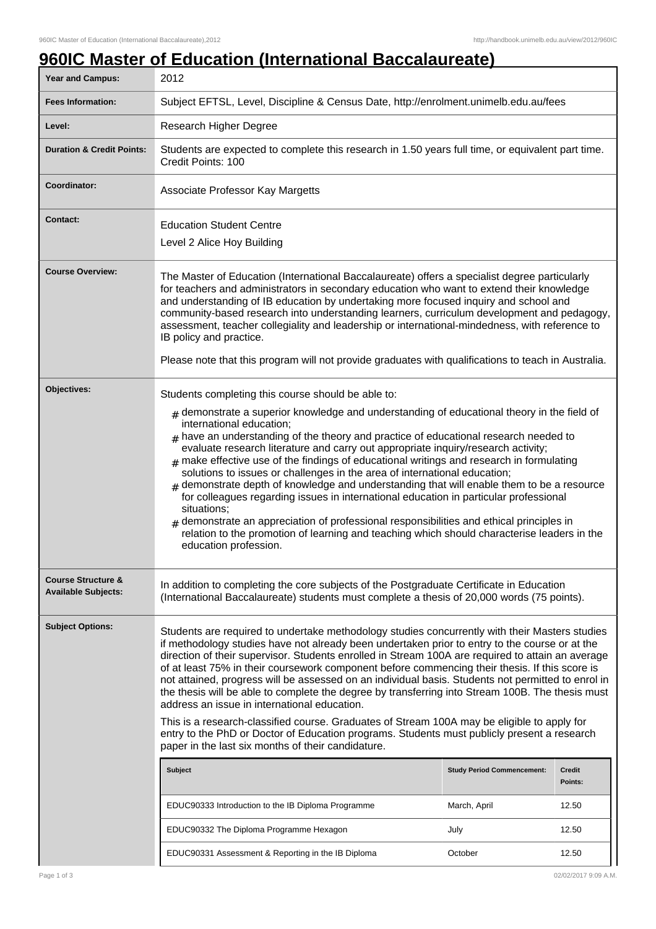## **960IC Master of Education (International Baccalaureate)**

| <b>Year and Campus:</b>                                     | <u>UI LUUUULUI (IIIUIIIULUI PUUUUIUI VUL</u><br>2012                                                                                                                                                                                                                                                                                                                                                                                                                                                                                                                                                                                                                                                                                                                                                                                                                                                                                                                                          |              |         |
|-------------------------------------------------------------|-----------------------------------------------------------------------------------------------------------------------------------------------------------------------------------------------------------------------------------------------------------------------------------------------------------------------------------------------------------------------------------------------------------------------------------------------------------------------------------------------------------------------------------------------------------------------------------------------------------------------------------------------------------------------------------------------------------------------------------------------------------------------------------------------------------------------------------------------------------------------------------------------------------------------------------------------------------------------------------------------|--------------|---------|
| <b>Fees Information:</b>                                    | Subject EFTSL, Level, Discipline & Census Date, http://enrolment.unimelb.edu.au/fees                                                                                                                                                                                                                                                                                                                                                                                                                                                                                                                                                                                                                                                                                                                                                                                                                                                                                                          |              |         |
| Level:                                                      | Research Higher Degree                                                                                                                                                                                                                                                                                                                                                                                                                                                                                                                                                                                                                                                                                                                                                                                                                                                                                                                                                                        |              |         |
| <b>Duration &amp; Credit Points:</b>                        | Students are expected to complete this research in 1.50 years full time, or equivalent part time.<br>Credit Points: 100                                                                                                                                                                                                                                                                                                                                                                                                                                                                                                                                                                                                                                                                                                                                                                                                                                                                       |              |         |
| Coordinator:                                                | Associate Professor Kay Margetts                                                                                                                                                                                                                                                                                                                                                                                                                                                                                                                                                                                                                                                                                                                                                                                                                                                                                                                                                              |              |         |
| <b>Contact:</b>                                             | <b>Education Student Centre</b><br>Level 2 Alice Hoy Building                                                                                                                                                                                                                                                                                                                                                                                                                                                                                                                                                                                                                                                                                                                                                                                                                                                                                                                                 |              |         |
| <b>Course Overview:</b>                                     | The Master of Education (International Baccalaureate) offers a specialist degree particularly<br>for teachers and administrators in secondary education who want to extend their knowledge<br>and understanding of IB education by undertaking more focused inquiry and school and<br>community-based research into understanding learners, curriculum development and pedagogy,<br>assessment, teacher collegiality and leadership or international-mindedness, with reference to<br>IB policy and practice.<br>Please note that this program will not provide graduates with qualifications to teach in Australia.                                                                                                                                                                                                                                                                                                                                                                          |              |         |
| Objectives:                                                 |                                                                                                                                                                                                                                                                                                                                                                                                                                                                                                                                                                                                                                                                                                                                                                                                                                                                                                                                                                                               |              |         |
|                                                             | Students completing this course should be able to:<br>$_{\#}$ demonstrate a superior knowledge and understanding of educational theory in the field of<br>international education;<br>$_{\rm H}$ have an understanding of the theory and practice of educational research needed to<br>evaluate research literature and carry out appropriate inquiry/research activity;<br>make effective use of the findings of educational writings and research in formulating<br>solutions to issues or challenges in the area of international education;<br>$#$ demonstrate depth of knowledge and understanding that will enable them to be a resource<br>for colleagues regarding issues in international education in particular professional<br>situations;<br>demonstrate an appreciation of professional responsibilities and ethical principles in<br>relation to the promotion of learning and teaching which should characterise leaders in the<br>education profession.                      |              |         |
| <b>Course Structure &amp;</b><br><b>Available Subjects:</b> | In addition to completing the core subjects of the Postgraduate Certificate in Education<br>(International Baccalaureate) students must complete a thesis of 20,000 words (75 points).                                                                                                                                                                                                                                                                                                                                                                                                                                                                                                                                                                                                                                                                                                                                                                                                        |              |         |
| <b>Subject Options:</b>                                     | Students are required to undertake methodology studies concurrently with their Masters studies<br>if methodology studies have not already been undertaken prior to entry to the course or at the<br>direction of their supervisor. Students enrolled in Stream 100A are required to attain an average<br>of at least 75% in their coursework component before commencing their thesis. If this score is<br>not attained, progress will be assessed on an individual basis. Students not permitted to enrol in<br>the thesis will be able to complete the degree by transferring into Stream 100B. The thesis must<br>address an issue in international education.<br>This is a research-classified course. Graduates of Stream 100A may be eligible to apply for<br>entry to the PhD or Doctor of Education programs. Students must publicly present a research<br>paper in the last six months of their candidature.<br><b>Subject</b><br><b>Credit</b><br><b>Study Period Commencement:</b> |              |         |
|                                                             |                                                                                                                                                                                                                                                                                                                                                                                                                                                                                                                                                                                                                                                                                                                                                                                                                                                                                                                                                                                               |              | Points: |
|                                                             | EDUC90333 Introduction to the IB Diploma Programme                                                                                                                                                                                                                                                                                                                                                                                                                                                                                                                                                                                                                                                                                                                                                                                                                                                                                                                                            | March, April | 12.50   |
|                                                             | EDUC90332 The Diploma Programme Hexagon                                                                                                                                                                                                                                                                                                                                                                                                                                                                                                                                                                                                                                                                                                                                                                                                                                                                                                                                                       | July         | 12.50   |
|                                                             | EDUC90331 Assessment & Reporting in the IB Diploma                                                                                                                                                                                                                                                                                                                                                                                                                                                                                                                                                                                                                                                                                                                                                                                                                                                                                                                                            | October      | 12.50   |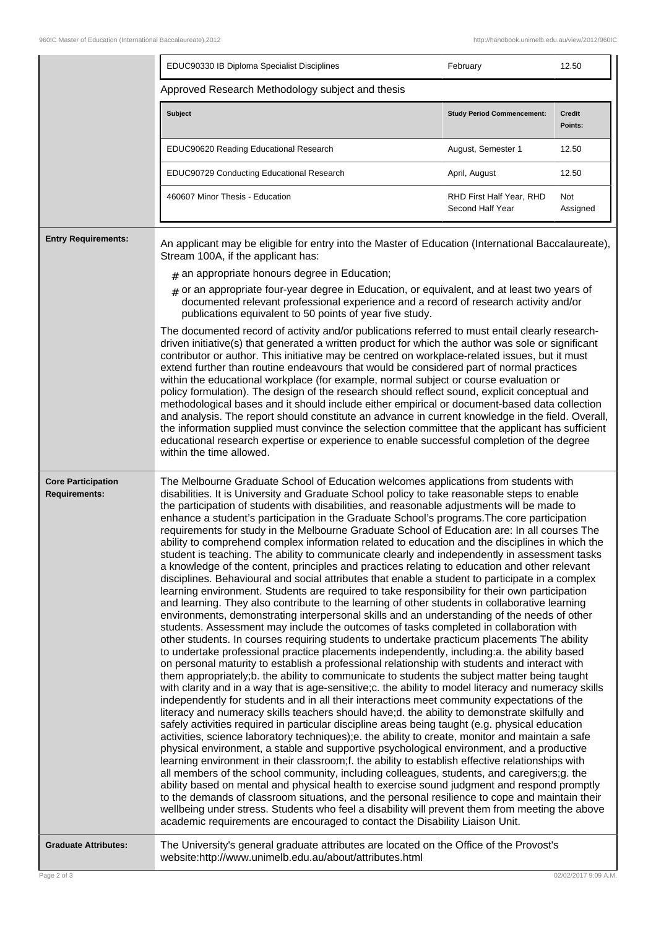|                                                   | EDUC90330 IB Diploma Specialist Disciplines                                                                                                                                                                                                                                                                                                                                                                                                                                                                                                                                                                                                                                                                                                                                                                                                                                                                                                                                                                                                                                                                                                                                                                                                                                                                                                                                                                                                                                                                                                                                                                                                                                                                                                                                                                                                                                                                                                                                                                                                                                                                                                                                                                                                                                                                                                                                                                                                                                                                                                                                                                                                                                                                                                                                                              | February                                     | 12.50                |
|---------------------------------------------------|----------------------------------------------------------------------------------------------------------------------------------------------------------------------------------------------------------------------------------------------------------------------------------------------------------------------------------------------------------------------------------------------------------------------------------------------------------------------------------------------------------------------------------------------------------------------------------------------------------------------------------------------------------------------------------------------------------------------------------------------------------------------------------------------------------------------------------------------------------------------------------------------------------------------------------------------------------------------------------------------------------------------------------------------------------------------------------------------------------------------------------------------------------------------------------------------------------------------------------------------------------------------------------------------------------------------------------------------------------------------------------------------------------------------------------------------------------------------------------------------------------------------------------------------------------------------------------------------------------------------------------------------------------------------------------------------------------------------------------------------------------------------------------------------------------------------------------------------------------------------------------------------------------------------------------------------------------------------------------------------------------------------------------------------------------------------------------------------------------------------------------------------------------------------------------------------------------------------------------------------------------------------------------------------------------------------------------------------------------------------------------------------------------------------------------------------------------------------------------------------------------------------------------------------------------------------------------------------------------------------------------------------------------------------------------------------------------------------------------------------------------------------------------------------------------|----------------------------------------------|----------------------|
|                                                   | Approved Research Methodology subject and thesis                                                                                                                                                                                                                                                                                                                                                                                                                                                                                                                                                                                                                                                                                                                                                                                                                                                                                                                                                                                                                                                                                                                                                                                                                                                                                                                                                                                                                                                                                                                                                                                                                                                                                                                                                                                                                                                                                                                                                                                                                                                                                                                                                                                                                                                                                                                                                                                                                                                                                                                                                                                                                                                                                                                                                         |                                              |                      |
|                                                   | <b>Subject</b>                                                                                                                                                                                                                                                                                                                                                                                                                                                                                                                                                                                                                                                                                                                                                                                                                                                                                                                                                                                                                                                                                                                                                                                                                                                                                                                                                                                                                                                                                                                                                                                                                                                                                                                                                                                                                                                                                                                                                                                                                                                                                                                                                                                                                                                                                                                                                                                                                                                                                                                                                                                                                                                                                                                                                                                           | <b>Study Period Commencement:</b>            | Credit<br>Points:    |
|                                                   | EDUC90620 Reading Educational Research                                                                                                                                                                                                                                                                                                                                                                                                                                                                                                                                                                                                                                                                                                                                                                                                                                                                                                                                                                                                                                                                                                                                                                                                                                                                                                                                                                                                                                                                                                                                                                                                                                                                                                                                                                                                                                                                                                                                                                                                                                                                                                                                                                                                                                                                                                                                                                                                                                                                                                                                                                                                                                                                                                                                                                   | August, Semester 1                           | 12.50                |
|                                                   | EDUC90729 Conducting Educational Research                                                                                                                                                                                                                                                                                                                                                                                                                                                                                                                                                                                                                                                                                                                                                                                                                                                                                                                                                                                                                                                                                                                                                                                                                                                                                                                                                                                                                                                                                                                                                                                                                                                                                                                                                                                                                                                                                                                                                                                                                                                                                                                                                                                                                                                                                                                                                                                                                                                                                                                                                                                                                                                                                                                                                                | April, August                                | 12.50                |
|                                                   | 460607 Minor Thesis - Education                                                                                                                                                                                                                                                                                                                                                                                                                                                                                                                                                                                                                                                                                                                                                                                                                                                                                                                                                                                                                                                                                                                                                                                                                                                                                                                                                                                                                                                                                                                                                                                                                                                                                                                                                                                                                                                                                                                                                                                                                                                                                                                                                                                                                                                                                                                                                                                                                                                                                                                                                                                                                                                                                                                                                                          | RHD First Half Year, RHD<br>Second Half Year | Not<br>Assigned      |
| <b>Entry Requirements:</b>                        | An applicant may be eligible for entry into the Master of Education (International Baccalaureate),<br>Stream 100A, if the applicant has:                                                                                                                                                                                                                                                                                                                                                                                                                                                                                                                                                                                                                                                                                                                                                                                                                                                                                                                                                                                                                                                                                                                                                                                                                                                                                                                                                                                                                                                                                                                                                                                                                                                                                                                                                                                                                                                                                                                                                                                                                                                                                                                                                                                                                                                                                                                                                                                                                                                                                                                                                                                                                                                                 |                                              |                      |
|                                                   | $#$ an appropriate honours degree in Education;                                                                                                                                                                                                                                                                                                                                                                                                                                                                                                                                                                                                                                                                                                                                                                                                                                                                                                                                                                                                                                                                                                                                                                                                                                                                                                                                                                                                                                                                                                                                                                                                                                                                                                                                                                                                                                                                                                                                                                                                                                                                                                                                                                                                                                                                                                                                                                                                                                                                                                                                                                                                                                                                                                                                                          |                                              |                      |
|                                                   | $#$ or an appropriate four-year degree in Education, or equivalent, and at least two years of<br>documented relevant professional experience and a record of research activity and/or<br>publications equivalent to 50 points of year five study.                                                                                                                                                                                                                                                                                                                                                                                                                                                                                                                                                                                                                                                                                                                                                                                                                                                                                                                                                                                                                                                                                                                                                                                                                                                                                                                                                                                                                                                                                                                                                                                                                                                                                                                                                                                                                                                                                                                                                                                                                                                                                                                                                                                                                                                                                                                                                                                                                                                                                                                                                        |                                              |                      |
|                                                   | The documented record of activity and/or publications referred to must entail clearly research-<br>driven initiative(s) that generated a written product for which the author was sole or significant<br>contributor or author. This initiative may be centred on workplace-related issues, but it must<br>extend further than routine endeavours that would be considered part of normal practices<br>within the educational workplace (for example, normal subject or course evaluation or<br>policy formulation). The design of the research should reflect sound, explicit conceptual and<br>methodological bases and it should include either empirical or document-based data collection<br>and analysis. The report should constitute an advance in current knowledge in the field. Overall,<br>the information supplied must convince the selection committee that the applicant has sufficient<br>educational research expertise or experience to enable successful completion of the degree<br>within the time allowed.                                                                                                                                                                                                                                                                                                                                                                                                                                                                                                                                                                                                                                                                                                                                                                                                                                                                                                                                                                                                                                                                                                                                                                                                                                                                                                                                                                                                                                                                                                                                                                                                                                                                                                                                                                        |                                              |                      |
| <b>Core Participation</b><br><b>Requirements:</b> | The Melbourne Graduate School of Education welcomes applications from students with<br>disabilities. It is University and Graduate School policy to take reasonable steps to enable<br>the participation of students with disabilities, and reasonable adjustments will be made to<br>enhance a student's participation in the Graduate School's programs. The core participation<br>requirements for study in the Melbourne Graduate School of Education are: In all courses The<br>ability to comprehend complex information related to education and the disciplines in which the<br>student is teaching. The ability to communicate clearly and independently in assessment tasks<br>a knowledge of the content, principles and practices relating to education and other relevant<br>disciplines. Behavioural and social attributes that enable a student to participate in a complex<br>learning environment. Students are required to take responsibility for their own participation<br>and learning. They also contribute to the learning of other students in collaborative learning<br>environments, demonstrating interpersonal skills and an understanding of the needs of other<br>students. Assessment may include the outcomes of tasks completed in collaboration with<br>other students. In courses requiring students to undertake practicum placements The ability<br>to undertake professional practice placements independently, including:a. the ability based<br>on personal maturity to establish a professional relationship with students and interact with<br>them appropriately;b. the ability to communicate to students the subject matter being taught<br>with clarity and in a way that is age-sensitive;c. the ability to model literacy and numeracy skills<br>independently for students and in all their interactions meet community expectations of the<br>literacy and numeracy skills teachers should have;d. the ability to demonstrate skilfully and<br>safely activities required in particular discipline areas being taught (e.g. physical education<br>activities, science laboratory techniques);e. the ability to create, monitor and maintain a safe<br>physical environment, a stable and supportive psychological environment, and a productive<br>learning environment in their classroom;f. the ability to establish effective relationships with<br>all members of the school community, including colleagues, students, and caregivers;g. the<br>ability based on mental and physical health to exercise sound judgment and respond promptly<br>to the demands of classroom situations, and the personal resilience to cope and maintain their<br>wellbeing under stress. Students who feel a disability will prevent them from meeting the above |                                              |                      |
| <b>Graduate Attributes:</b>                       | The University's general graduate attributes are located on the Office of the Provost's<br>website:http://www.unimelb.edu.au/about/attributes.html                                                                                                                                                                                                                                                                                                                                                                                                                                                                                                                                                                                                                                                                                                                                                                                                                                                                                                                                                                                                                                                                                                                                                                                                                                                                                                                                                                                                                                                                                                                                                                                                                                                                                                                                                                                                                                                                                                                                                                                                                                                                                                                                                                                                                                                                                                                                                                                                                                                                                                                                                                                                                                                       |                                              |                      |
| Page 2 of 3                                       |                                                                                                                                                                                                                                                                                                                                                                                                                                                                                                                                                                                                                                                                                                                                                                                                                                                                                                                                                                                                                                                                                                                                                                                                                                                                                                                                                                                                                                                                                                                                                                                                                                                                                                                                                                                                                                                                                                                                                                                                                                                                                                                                                                                                                                                                                                                                                                                                                                                                                                                                                                                                                                                                                                                                                                                                          |                                              | 02/02/2017 9:09 A.M. |